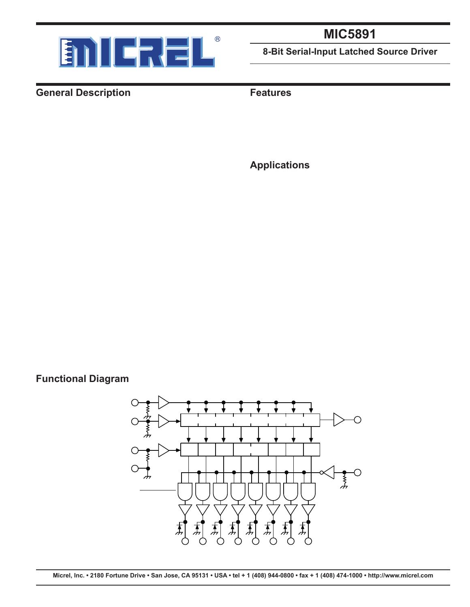

# **MIC5891**

**8-Bit Serial-Input Latched Source Driver**

#### **General Description**

**Functional Diagram**

The MIC5891 latched driver is a high-voltage, high current integrated circuit comprised of eight CMOS data latches, CMOS control circuitry for the common STROBE and OUT-PUT ENABLE, and bipolar Darlington transistor drivers for each latch.

Bipolar/MOS construction provides extremely low power latches with maximum interface flexibility.

The MIC5891 will typically operate at 5MHz with a 5V logic supply.

The CMOS inputs are compatible with standard CMOS, PMOS, and NMOS logic levels. TTL circuits may be used with appropriate pull-up resistors to ensure a proper logichigh input.

A CMOS serial data output allows additional drivers to be cascaded when more than 8 bits are required.

The MIC5891 has open-emitter outputs with suppression diodes for protection against inductive load transients. The output transistors are capable of sourcing 500mA and will sustain at least 35V in the on-state.

Simultaneous operation of all drivers at maximum rated current requires a reduction in duty cycle due to package power limitations. Outputs may be paralleled for higher load current capability.

The MIC5891 is available in a 16-pin plastic DIP package (N) and 16-pin wide SOIC package (WM).

#### **Features**

- High-voltage, high-current outputs
- Output transient protection diodes
- CMOS-, PMOS-, NMOS-, and TTL-compatible inputs
- 5MHz typical data input rate
- Low-power CMOS latches

#### **Applications**

- Alphanumeric and bar graph displays
- LED and incandescent displays
- Relay and solenoid drivers
- Other high-power loads



#### **Micrel, Inc. • 2180 Fortune Drive • San Jose, CA 95131 • USA • tel + 1 (408) 944-0800 • fax + 1 (408) 474-1000 • http://www.micrel.com**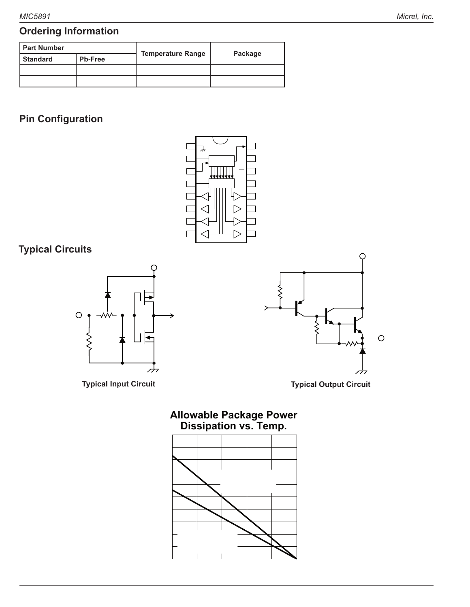## **Ordering Information**

| l Part Number                     |                  |                                    |                    |  |
|-----------------------------------|------------------|------------------------------------|--------------------|--|
| <b>Standard</b><br><b>Pb-Free</b> |                  | <b>Temperature Range</b>           | Package            |  |
| MIC5891BN                         | <b>MIC5891YN</b> | $-40^{\circ}$ C to $+85^{\circ}$ C | 16-Pin Plastic DIP |  |
| MIC5891BWM                        | MIC5891YWM       | $-40^{\circ}$ C to $+85^{\circ}$ C | 16-Pin Wide SOIC   |  |

## **Pin Configuration**

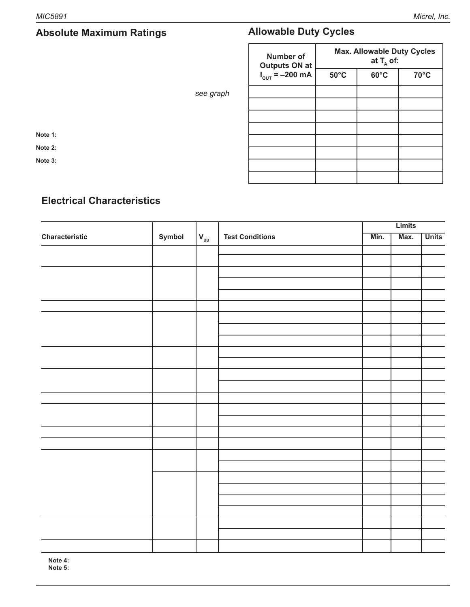| Logic Supply Voltage Range $(V_{\text{DD}})$ 4.5V to 15V                  |  |
|---------------------------------------------------------------------------|--|
| Load Supply Voltage Range $(V_{_{\text{RB}}})$ 5.0V to 50V                |  |
| Input Voltage Range $(V_{N})$ ____________________-0.3V to $V_{DD}$ +0.3V |  |
| Continuous Collector Current (I <sub>c</sub> ) 500mA                      |  |
| Package Power Dissipation see graph                                       |  |
| Operating Temperature Range $(T_{\text{A}})$ -55°C to +125°C              |  |
| Storage Temperature Range $(T_s)$ -65°C to +150°C                         |  |

**Note 1:**  $T_A = 25^{\circ}C$ 

**Note 2:** Derate at the rate of 20mW/ $\degree$ C above T<sub>A</sub> = 25 $\degree$ C.

**Note 3:** Micrel CMOS devices have input-static protection but are susceptible to damage when exposed to extremely high static electrical charges.

### **Allowable Duty Cycles**

| <b>Number of</b><br><b>Outputs ON at</b> | <b>Max. Allowable Duty Cycles</b><br>at $T_{\text{A}}$ of: |                |                |  |  |
|------------------------------------------|------------------------------------------------------------|----------------|----------------|--|--|
| $I_{\text{OUT}} = -200 \text{ mA}$       | $50^{\circ}$ C                                             | $60^{\circ}$ C | $70^{\circ}$ C |  |  |
| 8                                        | 53%                                                        | 47%            | 41%            |  |  |
| 7                                        | 60%                                                        | 54%            | 48%            |  |  |
| 6                                        | 70%                                                        | 64%            | 56%            |  |  |
| 5                                        | 83%                                                        | 75%            | 67%            |  |  |
| 4                                        | 100%                                                       | 94%            | 84%            |  |  |
| 3                                        | 100%                                                       | 100%           | 100%           |  |  |
| $\mathfrak{D}$                           | 100%                                                       | 100%           | 100%           |  |  |
|                                          | 100%                                                       | 100%           | 100%           |  |  |

#### **Electrical Characteristics**

 $V_{BB} = 50V$ ,  $V_{DD} = 5V$  to 12V;  $T_A = +25^{\circ}$ C; unless noted.

|                                  |                                              | Limits   |                                                                 |               |               |              |
|----------------------------------|----------------------------------------------|----------|-----------------------------------------------------------------|---------------|---------------|--------------|
| <b>Characteristic</b>            | Symbol                                       | $V_{BB}$ | <b>Test Conditions</b>                                          | Min.          | Max.          | <b>Units</b> |
| <b>Output Leakage Current</b>    | $I_{CEX}$                                    | 50V      | $T_{\text{A}} = +25^{\circ}$ C                                  |               | $-50$         | $\mu A$      |
|                                  |                                              |          | $T_{A}$ = +85°C                                                 |               | $-100$        | μA           |
| <b>Output Saturation Voltage</b> | $\rm V_{\rm CE(SAT)}$                        | 50V      | $I_{\text{OUT}} = -100 \text{mA}, T_{\text{A}} = +85 \text{°C}$ |               | 1.8           | $\vee$       |
|                                  |                                              |          | $I_{\text{OUT}} = -225 \text{mA}, T_{A} = +85 \degree C$        |               | 1.9           | $\vee$       |
|                                  |                                              |          | $I_{\text{OUT}} = -350 \text{mA}, T_{\text{A}} = +85 \text{°C}$ |               | 2.0           | $\vee$       |
| <b>Output Sustaining Voltage</b> | $V_{CE(SUS)}$                                | 50V      | $I_{OUT} = -350mA, L = 2mH$                                     | 35            |               | $\vee$       |
| Input Voltage                    | $V_{IN(1)}$                                  | 50V      | $V_{DD} = 5.0 V$                                                | 3.5           | $V_{DD}$ +0.3 | V            |
|                                  |                                              |          | $V_{DD} = 12V$                                                  | 10.5          | $V_{DD}$ +0.3 | $\vee$       |
|                                  | $V_{\frac{\vert N(0)}{\vert N(0)} }$         | 50V      | $V_{\text{nn}}$ = 5V to 12V                                     | $V_{ss}$ -0.3 | 0.8           | V            |
| <b>Input Current</b>             | $I_{IN(1)}$                                  | 50V      | $V_{DD} = V_{IN} = 5.0V$                                        |               | 50            | μA           |
|                                  |                                              |          | $V_{DD} = 12V$                                                  |               | 240           | μA           |
| Input Impedance                  | $Z_{\text{IN}}$                              | 50V      | $V_{DD} = 5.0 V$                                                | 100           |               | k            |
|                                  |                                              |          | $V_{DD} = 12V$                                                  | 50            |               | k            |
| Maximum Clock Frequency          | $f_{c}$                                      | 50V      |                                                                 | 3.3           |               | <b>MHz</b>   |
| Serial Data Output Resistance    | $R_{\text{OUT}}$                             | 50V      | $V_{DD} = 5.0V$                                                 |               | 20            | $\sf k$      |
|                                  |                                              |          | $V_{\text{DD}} = 12V$                                           |               | 6.0           | k            |
| Turn-On Delay                    | $\mathfrak{t}_{\scriptscriptstyle{\sf PLH}}$ | 50V      | Output Enable to Output, $I_{OUT} = -350 \text{mA}$             |               | 2.0           | μs           |
| <b>Turnoff Delay</b>             | $\mathfrak{t}_{\rm PHL}$                     | 50V      | Output Enable to Output, $I_{\text{OUT}} = -350 \text{mA}$      |               | 10            | μs           |
| <b>Supply Current</b>            | $I_{BB}$                                     | 50V      | all outputs on, all outputs open                                |               | 10            | mA           |
|                                  |                                              |          | all outputs off                                                 |               | 200           | μA           |
|                                  | $I_{DD}$                                     | 50V      | $V_{DD}$ = 5V, all outputs off, inputs = 0V                     |               | 100           | μA           |
|                                  |                                              |          | $V_{\text{DD}}$ = 12V, all outputs off, inputs = 0V             |               | 200           | μA           |
|                                  |                                              |          | $V_{DD}$ = 5V, one output on, all inputs = 0V                   |               | 1.0           | mA           |
|                                  |                                              |          | $V_{\text{nn}}$ = 12V, one output on, all inputs = 0V           |               | 3.0           | mA           |
| Diode Leakage Current            | $I_{H}$                                      | Max      | $T_{A}$ = +25°C                                                 |               | 50            | μA           |
|                                  |                                              |          | $T_a$ = +85°C                                                   |               | 100           | μA           |
| Diode Forward Voltage            | $\mathsf{V}_\mathsf{F}$                      | Open     | $I_{E} = 350mA$                                                 |               | 2.0           | $\vee$       |

**Note 4:** Positive (negative) current is defined as going into (coming out of) the specified device pin.

**Note 5:** Operation of these devices with standard TTL may require the use of appropriate pull-up resistors.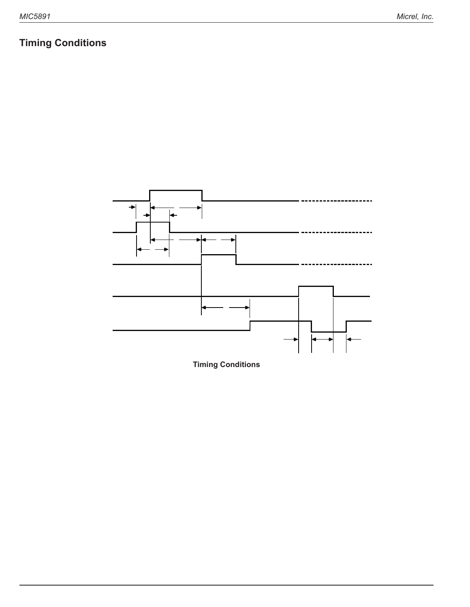# **Timing Conditions**

| $(V_{\text{nn}} = 5.0V$ , Logic Levels are $V_{\text{nn}}$ and Ground) |  |
|------------------------------------------------------------------------|--|
|                                                                        |  |
|                                                                        |  |
|                                                                        |  |
|                                                                        |  |
|                                                                        |  |
|                                                                        |  |
|                                                                        |  |
|                                                                        |  |
|                                                                        |  |



**Timing Conditions**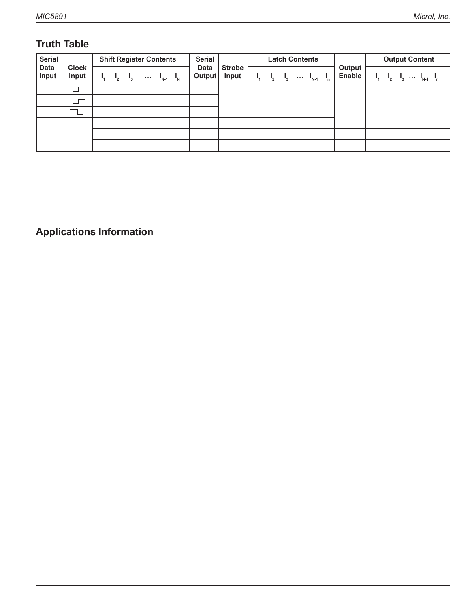# **Truth Table**

| <b>Serial</b>        |                       | <b>Shift Register Contents</b>                                                   | <b>Serial</b>                | <b>Latch Contents</b>  |                                                                       | <b>Output Content</b>   |                                         |
|----------------------|-----------------------|----------------------------------------------------------------------------------|------------------------------|------------------------|-----------------------------------------------------------------------|-------------------------|-----------------------------------------|
| <b>Data</b><br>Input | <b>Clock</b><br>Input | $\mathbf{I}_{N}$<br><b>A 100</b><br>$N-1$                                        | <b>Data</b><br><b>Output</b> | <b>Strobe</b><br>Input | $\cdots$ $I_{N-1}$                                                    | Output<br><b>Enable</b> | $I_3 \cdots I_{N-1}$                    |
| H                    |                       | R.<br>H<br>$R_{\circ}$<br>$R_{N-2} R_{N-1}$                                      | $R_{N-1}$                    |                        |                                                                       |                         |                                         |
|                      |                       | R.<br>$R_{\rm o}$<br>$R_{N-2} R_{N-1}$                                           | $R_{N-1}$                    |                        |                                                                       |                         |                                         |
| $\times$             |                       | $R_{\rm M}$<br>R.<br>$R_{\circ}$<br>$R_{\circ}$<br>$R_{N-1}$<br>$\sim 100$       | $R_{N}$                      |                        |                                                                       |                         |                                         |
|                      |                       | X.<br>X                                                                          | X                            |                        | $\ldots R_{N-1} R_N$<br>R.<br>$R_{\rm a}$<br>$R_{2}$                  |                         |                                         |
|                      |                       | $P_{\lambda}$<br>$P_{2}$<br>$\ldots$ P <sub>N-1</sub><br>$P_{N}$<br>$P_{\alpha}$ | $P_{N}$                      | Н                      | $P_{N}$<br>$P_{2}$<br>Ρ.<br>$P_{\alpha}$<br>$\ldots$ P <sub>N-1</sub> |                         | $P_1$ , $P_2$ , $P_3$ $P_{N-1}$ , $P_N$ |
|                      |                       |                                                                                  |                              |                        |                                                                       | н                       |                                         |

L = Low Logic Level

 $H = High Logic Level$ 

 $X = I$ rrelevant

P = Present State

R = Previous State

**Applications Information**

Serial data present at the input is transferred into the shift register on the rising edge of the CLOCK input pulse. Additional CLOCK pulses shift data information towards the SERIAL DATA OUTPUT. The serial data must appear at the input prior to the rising edge of the CLOCK input waveform.

The 8 bits present in the shift register are transferred to the respective latches when the STROBE is high (serial-to-parallel conversion). The latches will continue to accept new data as

long as the STROBE is held high. Most applications where the latching feature is not used (STROBE tied high) require the OUTPUT ENABLE input to be high during serial data entry.

Outputs are active (controlled by the latch state) when the OUTPUT ENABLE is low. All Outputs are low (disabled) when the OUTPUT ENABLE is high. OUTPUT ENABLE does not affect the data in the shift register or latch.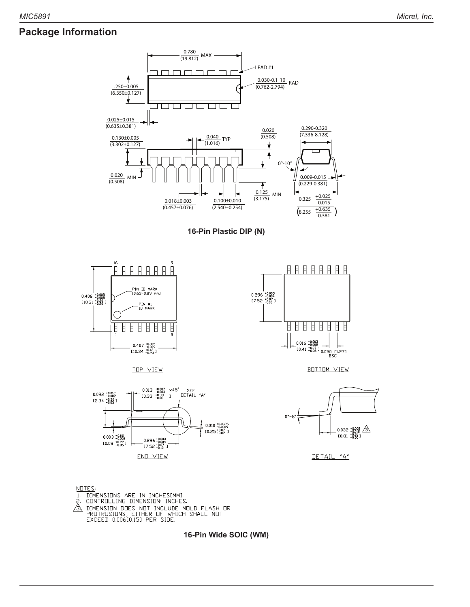### **Package Information**













**BOTTOM VIEW** 



DETAIL "A"

 $NUTE:$ <u>.......</u><br>1. DIMENSIONS ARE IN INCHESIMM].<br>2. CONTROLLING DIMENSION: INCHES. 2. CONTROLLING DIFFICULTION INCLUDE MOLD FLASH OR<br>PROTRUSION DES NOT INCLUDE MOLD FLASH OR<br>EXCEED 0.006[0.15] PER SIDE.

**16-Pin Wide SOIC (WM)**